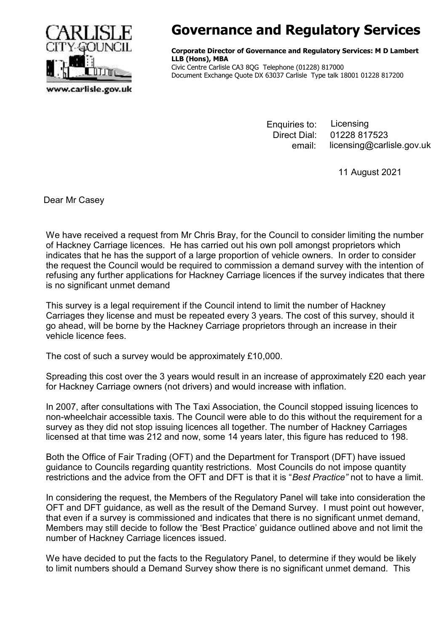

## Governance and Regulatory Services

Corporate Director of Governance and Regulatory Services: M D Lambert LLB (Hons), MBA Civic Centre Carlisle CA3 8QG Telephone (01228) 817000 Document Exchange Quote DX 63037 Carlisle Type talk 18001 01228 817200

> Enquiries to: Direct Dial: licensing@carlisle.gov.uk Licensing 01228 817523 email:

> > 11 August 2021

Dear Mr Casey

We have received a request from Mr Chris Bray, for the Council to consider limiting the number of Hackney Carriage licences. He has carried out his own poll amongst proprietors which indicates that he has the support of a large proportion of vehicle owners. In order to consider the request the Council would be required to commission a demand survey with the intention of refusing any further applications for Hackney Carriage licences if the survey indicates that there is no significant unmet demand

This survey is a legal requirement if the Council intend to limit the number of Hackney Carriages they license and must be repeated every 3 years. The cost of this survey, should it go ahead, will be borne by the Hackney Carriage proprietors through an increase in their vehicle licence fees.

The cost of such a survey would be approximately £10,000.

Spreading this cost over the 3 years would result in an increase of approximately £20 each year for Hackney Carriage owners (not drivers) and would increase with inflation.

In 2007, after consultations with The Taxi Association, the Council stopped issuing licences to non-wheelchair accessible taxis. The Council were able to do this without the requirement for a survey as they did not stop issuing licences all together. The number of Hackney Carriages licensed at that time was 212 and now, some 14 years later, this figure has reduced to 198.

Both the Office of Fair Trading (OFT) and the Department for Transport (DFT) have issued guidance to Councils regarding quantity restrictions. Most Councils do not impose quantity restrictions and the advice from the OFT and DFT is that it is "Best Practice" not to have a limit.

In considering the request, the Members of the Regulatory Panel will take into consideration the OFT and DFT guidance, as well as the result of the Demand Survey. I must point out however, that even if a survey is commissioned and indicates that there is no significant unmet demand, Members may still decide to follow the 'Best Practice' guidance outlined above and not limit the number of Hackney Carriage licences issued.

We have decided to put the facts to the Regulatory Panel, to determine if they would be likely to limit numbers should a Demand Survey show there is no significant unmet demand. This